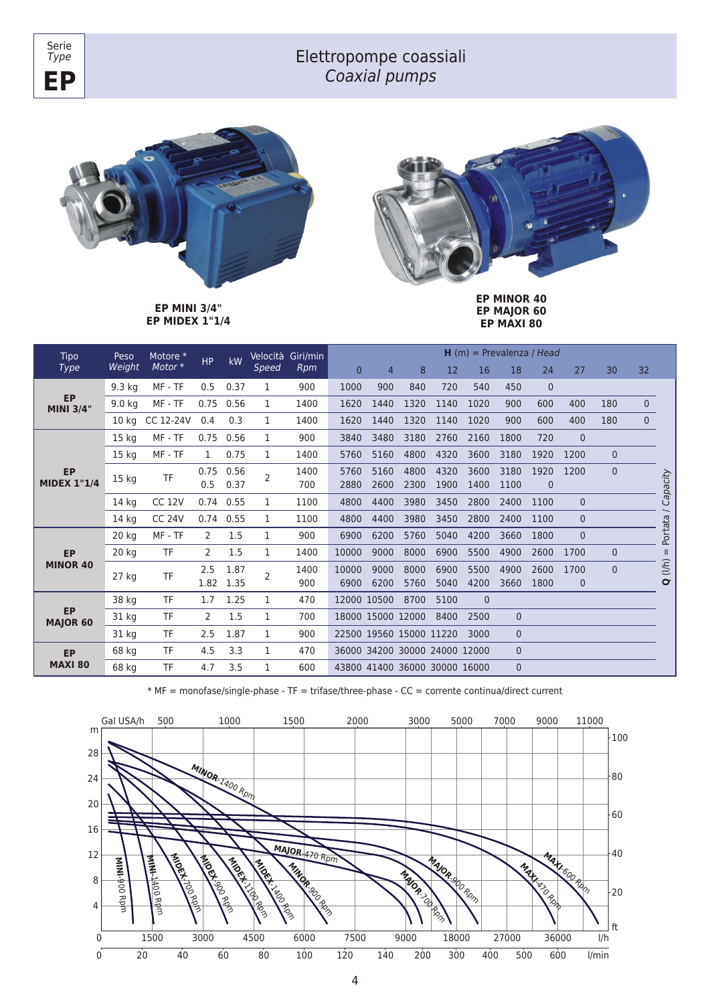



Serie *Type*

> **EP MINI 3/4" EP MIDEX 1"1/4**



**EP MINOR 40 EP MAJOR 60 EP MAXI 80**

| Tipo<br><b>Type</b>             | Peso<br>Weight   | Motore *      | <b>HP</b> | kW        | Velocità       | Giri/min | $H(m)$ = Prevalenza / Head |                |                               |      |          |          |              |                |              |              |          |      |      |      |      |      |      |             |  |
|---------------------------------|------------------|---------------|-----------|-----------|----------------|----------|----------------------------|----------------|-------------------------------|------|----------|----------|--------------|----------------|--------------|--------------|----------|------|------|------|------|------|------|-------------|--|
|                                 |                  |               | Motor*    |           |                | Speed    | Rpm                        | $\overline{0}$ | 4                             | 8    | 12       | 16       | 18           | 24             | 27           | 30           | 32       |      |      |      |      |      |      |             |  |
| <b>EP</b><br><b>MINI 3/4"</b>   | $9.3$ kg         | MF - TF       | 0.5       | 0.37      | 1              | 900      | 1000                       | 900            | 840                           | 720  | 540      | 450      | $\mathbf{0}$ |                |              |              |          |      |      |      |      |      |      |             |  |
|                                 | 9.0 kg           | MF - TF       | 0.75      | 0.56      | 1              | 1400     | 1620                       | 1440           | 1320                          | 1140 | 1020     | 900      | 600          | 400            | 180          | $\mathbf 0$  |          |      |      |      |      |      |      |             |  |
|                                 | 10 kg            | CC 12-24V     | 0.4       | 0.3       | 1              | 1400     | 1620                       | 1440           | 1320                          | 1140 | 1020     | 900      | 600          | 400            | 180          | $\mathbf{0}$ |          |      |      |      |      |      |      |             |  |
| <b>EP</b><br><b>MIDEX 1"1/4</b> | 15 <sub>kg</sub> | MF - TF       | 0.75      | 0.56      | 1              | 900      | 3840                       | 3480           | 3180                          | 2760 | 2160     | 1800     | 720          | $\overline{0}$ |              |              |          |      |      |      |      |      |      |             |  |
|                                 | 15 <sub>kg</sub> | MF - TF       | 1         | 0.75      | 1              | 1400     | 5760                       | 5160           | 4800                          | 4320 | 3600     | 3180     | 1920         | 1200           | $\mathbf{0}$ |              |          |      |      |      |      |      |      |             |  |
|                                 | 15 kg            | TF            | 0.75      | 0.56      | $\overline{2}$ | 1400     | 5760                       | 5160           | 4800                          | 4320 | 3600     | 3180     | 1920         | 1200           | $\mathbf{0}$ |              |          |      |      |      |      |      |      |             |  |
|                                 |                  |               | 0.5       | 0.37      |                | 700      | 2880                       | 2600           | 2300                          | 1900 | 1400     | 1100     | $\mathbf{0}$ |                |              |              | Capacity |      |      |      |      |      |      |             |  |
|                                 | 14 <sub>kg</sub> | <b>CC 12V</b> | 0.74      | 0.55      | 1              | 1100     | 4800                       | 4400           | 3980                          | 3450 | 2800     | 2400     | 1100         | $\mathbf{0}$   |              |              |          |      |      |      |      |      |      |             |  |
|                                 | 14 kg            | <b>CC 24V</b> |           | 0.74 0.55 | 1              | 1100     | 4800                       | 4400           | 3980                          | 3450 | 2800     | 2400     | 1100         | $\mathbf{0}$   |              |              |          |      |      |      |      |      |      |             |  |
| <b>EP</b><br><b>MINOR 40</b>    | 20 kg            | MF - TF       | 2         | 1.5       | 1              | 900      | 6900                       | 6200           | 5760                          | 5040 | 4200     | 3660     | 1800         | $\overline{0}$ |              |              | Portata  |      |      |      |      |      |      |             |  |
|                                 | 20 kg            | <b>TF</b>     | 2         | 1.5       | 1              | 1400     | 10000                      | 9000           | 8000                          | 6900 | 5500     | 4900     | 2600         | 1700           | $\mathbf{0}$ |              |          |      |      |      |      |      |      |             |  |
|                                 | $27$ kg          | TF            | 2.5       | 1.87      | $\overline{2}$ | 1400     | 10000                      | 9000           | 8000                          | 6900 | 5500     | 4900     | 2600         | 1700           | $\Omega$     |              | (1/h)    |      |      |      |      |      |      |             |  |
|                                 |                  |               |           |           |                |          |                            |                |                               |      |          |          | 1.82         | 1.35           |              | 900          | 6900     | 6200 | 5760 | 5040 | 4200 | 3660 | 1800 | $\mathbf 0$ |  |
| <b>EP</b><br>MAJOR 60           | 38 kg            | TF            | 1.7       | 1.25      | 1              | 470      | 12000 10500                |                | 8700                          | 5100 | $\Omega$ |          |              |                |              |              |          |      |      |      |      |      |      |             |  |
|                                 | 31 kg            | TF            | 2         | 1.5       | 1              | 700      | 18000 15000 12000          |                |                               | 8400 | 2500     | $\Omega$ |              |                |              |              |          |      |      |      |      |      |      |             |  |
|                                 | 31 kg            | TF            | 2.5       | 1.87      | 1              | 900      |                            |                | 22500 19560 15000 11220       |      | 3000     | $\Omega$ |              |                |              |              |          |      |      |      |      |      |      |             |  |
| <b>EP</b><br><b>MAXI 80</b>     | 68 kg            | <b>TF</b>     | 4.5       | 3.3       | 1              | 470      |                            |                | 36000 34200 30000 24000 12000 |      |          | $\Omega$ |              |                |              |              |          |      |      |      |      |      |      |             |  |
|                                 | 68 kg            | <b>TF</b>     | 4.7       | 3.5       | 1              | 600      |                            |                | 43800 41400 36000 30000 16000 |      |          | $\Omega$ |              |                |              |              |          |      |      |      |      |      |      |             |  |

\* MF = monofase/single-phase - TF = trifase/three-phase - CC = corrente continua/direct current